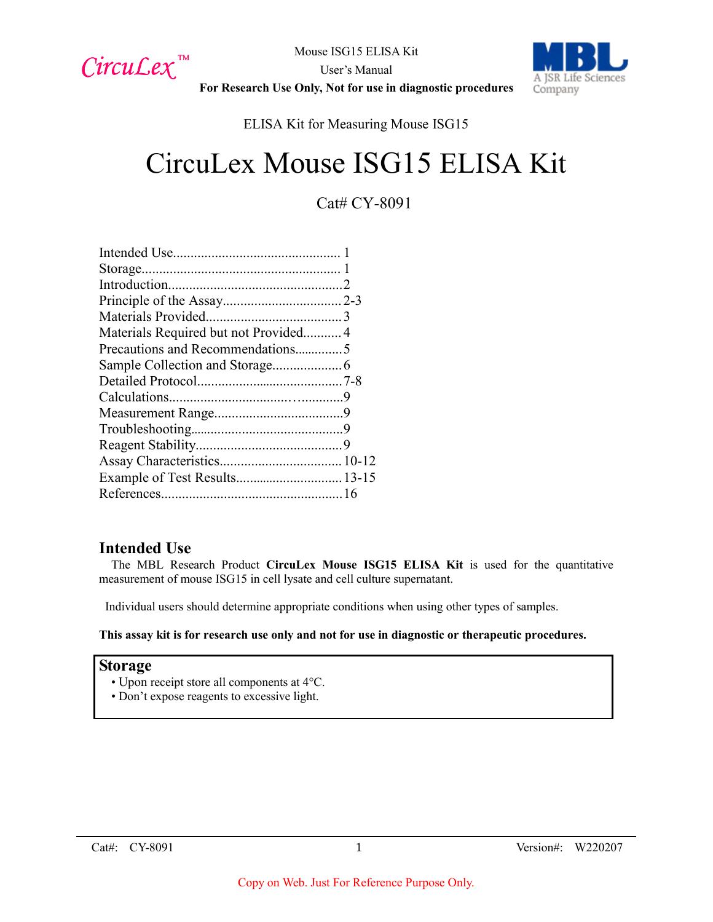

Mouse ISG15 ELISA Kit User's Manual **For Research Use Only, Not for use in diagnostic procedures**



ELISA Kit for Measuring Mouse ISG15

# CircuLex Mouse ISG15 ELISA Kit

Cat# CY-8091

| Materials Required but not Provided 4 |
|---------------------------------------|
| Precautions and Recommendations5      |
|                                       |
|                                       |
|                                       |
|                                       |
|                                       |
|                                       |
|                                       |
|                                       |
|                                       |
|                                       |

## **Intended Use**

The MBL Research Product **CircuLex Mouse ISG15 ELISA Kit** is used for the quantitative measurement of mouse ISG15 in cell lysate and cell culture supernatant.

Individual users should determine appropriate conditions when using other types of samples.

**This assay kit is for research use only and not for use in diagnostic or therapeutic procedures.**

#### **Storage**

- Upon receipt store all components at 4°C.
- Don't expose reagents to excessive light.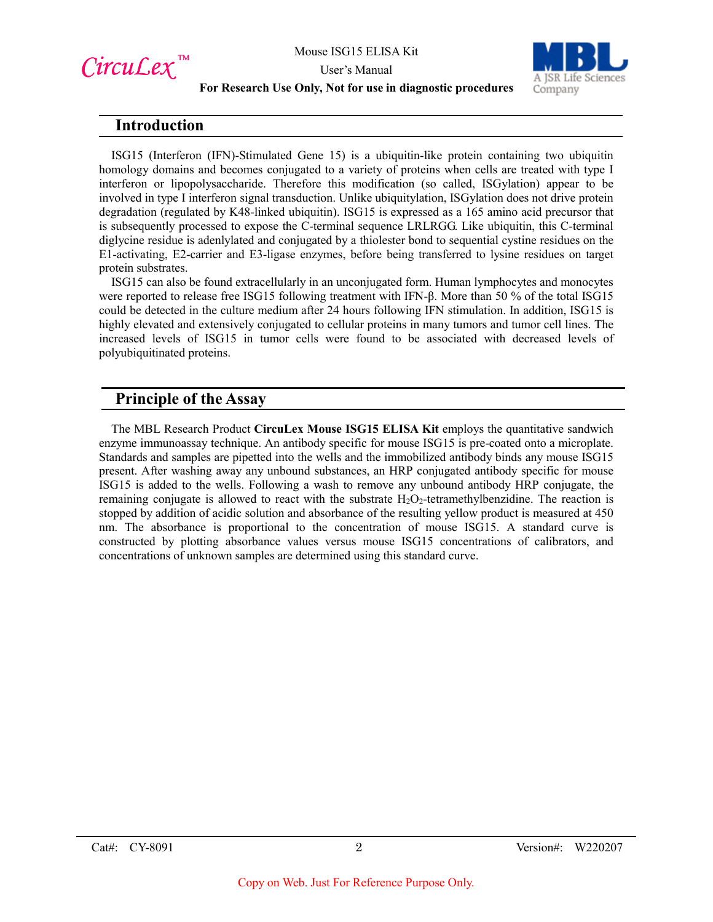

User's Manual



#### **For Research Use Only, Not for use in diagnostic procedures**

## **Introduction**

ISG15 (Interferon (IFN)-Stimulated Gene 15) is a ubiquitin-like protein containing two ubiquitin homology domains and becomes conjugated to a variety of proteins when cells are treated with type I interferon or lipopolysaccharide. Therefore this modification (so called, ISGylation) appear to be involved in type I interferon signal transduction. Unlike ubiquitylation, ISGylation does not drive protein degradation (regulated by K48-linked ubiquitin). ISG15 is expressed as a 165 amino acid precursor that is subsequently processed to expose the C-terminal sequence LRLRGG. Like ubiquitin, this C-terminal diglycine residue is adenlylated and conjugated by a thiolester bond to sequential cystine residues on the E1-activating, E2-carrier and E3-ligase enzymes, before being transferred to lysine residues on target protein substrates.

ISG15 can also be found extracellularly in an unconjugated form. Human lymphocytes and monocytes were reported to release free ISG15 following treatment with IFN-β. More than 50 % of the total ISG15 could be detected in the culture medium after 24 hours following IFN stimulation. In addition, ISG15 is highly elevated and extensively conjugated to cellular proteins in many tumors and tumor cell lines. The increased levels of ISG15 in tumor cells were found to be associated with decreased levels of polyubiquitinated proteins.

## **Principle of the Assay**

The MBL Research Product **CircuLex Mouse ISG15 ELISA Kit** employs the quantitative sandwich enzyme immunoassay technique. An antibody specific for mouse ISG15 is pre-coated onto a microplate. Standards and samples are pipetted into the wells and the immobilized antibody binds any mouse ISG15 present. After washing away any unbound substances, an HRP conjugated antibody specific for mouse ISG15 is added to the wells. Following a wash to remove any unbound antibody HRP conjugate, the remaining conjugate is allowed to react with the substrate  $H_2O_2$ -tetramethylbenzidine. The reaction is stopped by addition of acidic solution and absorbance of the resulting yellow product is measured at 450 nm. The absorbance is proportional to the concentration of mouse ISG15. A standard curve is constructed by plotting absorbance values versus mouse ISG15 concentrations of calibrators, and concentrations of unknown samples are determined using this standard curve.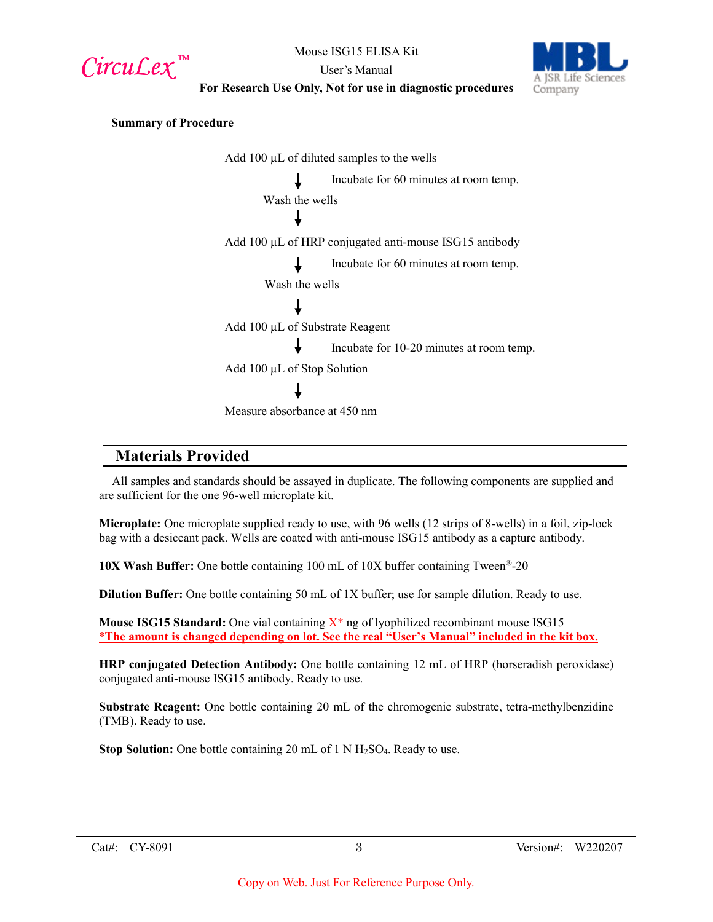CircuLex<sup>™</sup>



User's Manual **For Research Use Only, Not for use in diagnostic procedures**

**Summary of Procedure**

Add  $100 \mu L$  of diluted samples to the wells Incubate for 60 minutes at room temp. Wash the wells Add 100 µL of HRP conjugated anti-mouse ISG15 antibody Incubate for 60 minutes at room temp. Wash the wells Add 100 µL of Substrate Reagent Incubate for 10-20 minutes at room temp. Add 100 µL of Stop Solution Measure absorbance at 450 nm

## **Materials Provided**

All samples and standards should be assayed in duplicate. The following components are supplied and are sufficient for the one 96-well microplate kit.

**Microplate:** One microplate supplied ready to use, with 96 wells (12 strips of 8-wells) in a foil, zip-lock bag with a desiccant pack. Wells are coated with anti-mouse ISG15 antibody as a capture antibody.

**10X Wash Buffer:** One bottle containing 100 mL of 10X buffer containing Tween®-20

**Dilution Buffer:** One bottle containing 50 mL of 1X buffer; use for sample dilution. Ready to use.

**Mouse ISG15 Standard:** One vial containing  $X^*$  ng of lyophilized recombinant mouse ISG15 \***The amount is changed depending on lot. See the real "User's Manual" included in the kit box.**

**HRP conjugated Detection Antibody:** One bottle containing 12 mL of HRP (horseradish peroxidase) conjugated anti-mouse ISG15 antibody. Ready to use.

**Substrate Reagent:** One bottle containing 20 mL of the chromogenic substrate, tetra-methylbenzidine (TMB). Ready to use.

**Stop Solution:** One bottle containing 20 mL of 1 N H<sub>2</sub>SO<sub>4</sub>. Ready to use.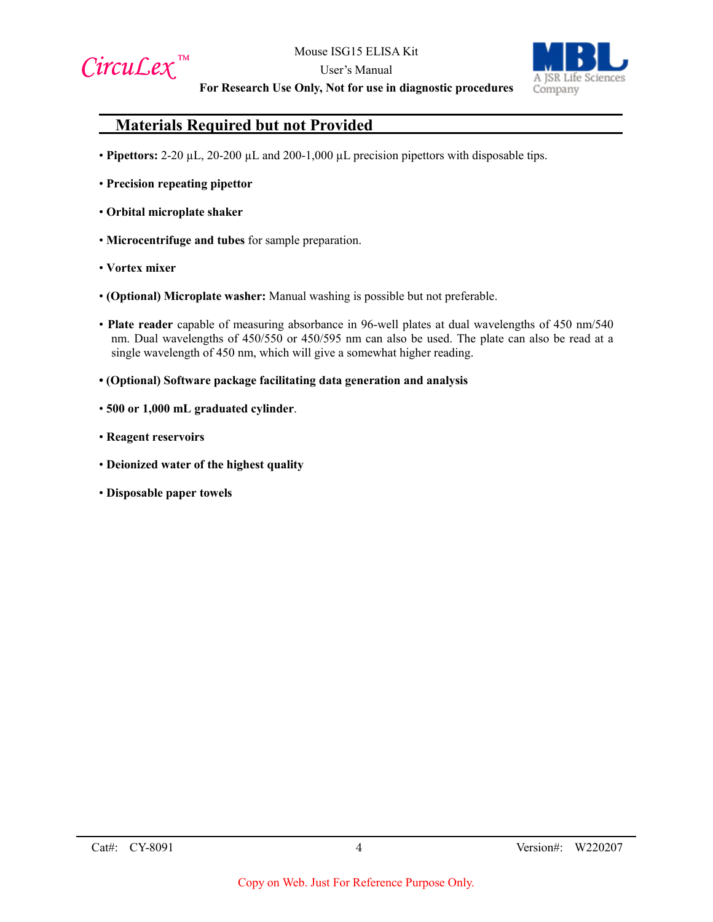



**For Research Use Only, Not for use in diagnostic procedures**

## **Materials Required but not Provided**

- **Pipettors:** 2-20 µL, 20-200 µL and 200-1,000 µL precision pipettors with disposable tips.
- **Precision repeating pipettor**
- **Orbital microplate shaker**
- **Microcentrifuge and tubes** for sample preparation.
- **Vortex mixer**
- **(Optional) Microplate washer:** Manual washing is possible but not preferable.
- **Plate reader** capable of measuring absorbance in 96-well plates at dual wavelengths of 450 nm/540 nm. Dual wavelengths of 450/550 or 450/595 nm can also be used. The plate can also be read at a single wavelength of 450 nm, which will give a somewhat higher reading.
- **(Optional) Software package facilitating data generation and analysis**
- **500 or 1,000 mL graduated cylinder**.
- **Reagent reservoirs**
- **Deionized water of the highest quality**
- **Disposable paper towels**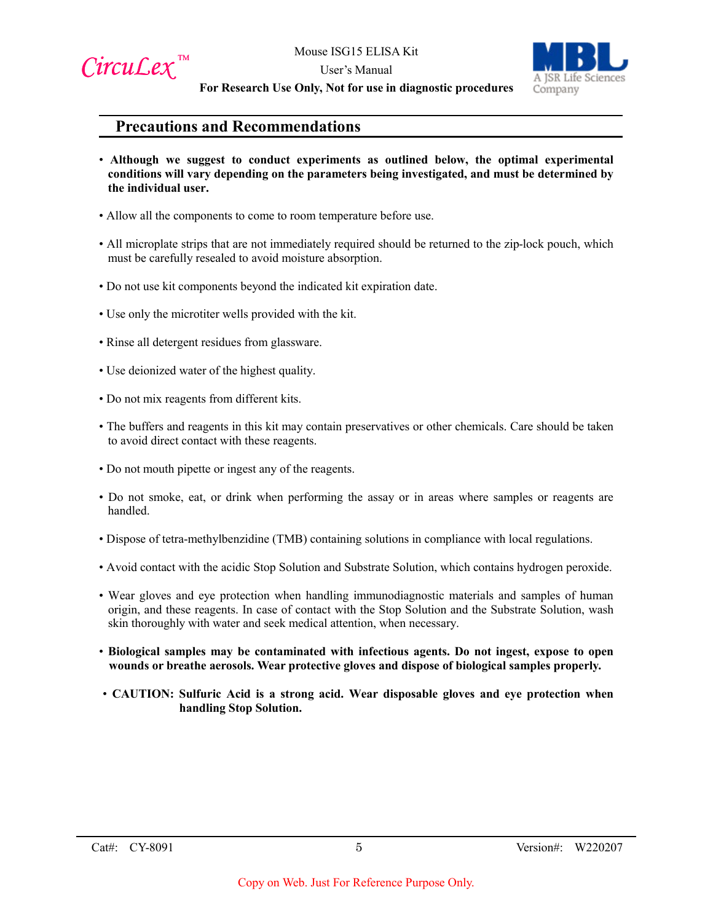



**For Research Use Only, Not for use in diagnostic procedures**

## **Precautions and Recommendations**

- **Although we suggest to conduct experiments as outlined below, the optimal experimental conditions will vary depending on the parameters being investigated, and must be determined by the individual user.**
- Allow all the components to come to room temperature before use.
- All microplate strips that are not immediately required should be returned to the zip-lock pouch, which must be carefully resealed to avoid moisture absorption.
- Do not use kit components beyond the indicated kit expiration date.
- Use only the microtiter wells provided with the kit.
- Rinse all detergent residues from glassware.
- Use deionized water of the highest quality.
- Do not mix reagents from different kits.
- The buffers and reagents in this kit may contain preservatives or other chemicals. Care should be taken to avoid direct contact with these reagents.
- Do not mouth pipette or ingest any of the reagents.
- Do not smoke, eat, or drink when performing the assay or in areas where samples or reagents are handled.
- Dispose of tetra-methylbenzidine (TMB) containing solutions in compliance with local regulations.
- Avoid contact with the acidic Stop Solution and Substrate Solution, which contains hydrogen peroxide.
- Wear gloves and eye protection when handling immunodiagnostic materials and samples of human origin, and these reagents. In case of contact with the Stop Solution and the Substrate Solution, wash skin thoroughly with water and seek medical attention, when necessary.
- **Biological samples may be contaminated with infectious agents. Do not ingest, expose to open wounds or breathe aerosols. Wear protective gloves and dispose of biological samples properly.**
- **CAUTION: Sulfuric Acid is a strong acid. Wear disposable gloves and eye protection when handling Stop Solution.**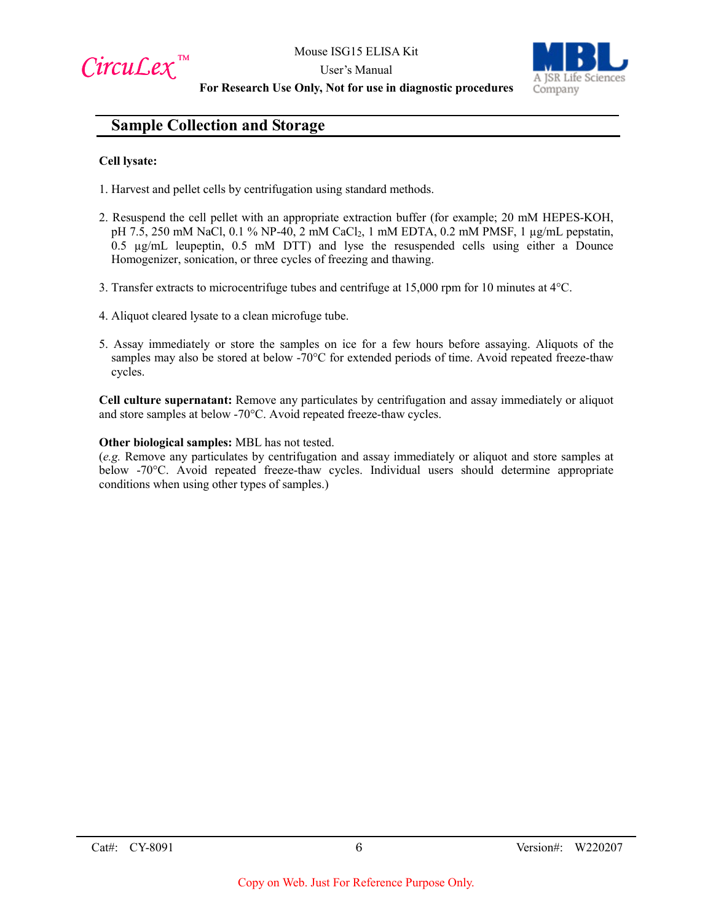



#### **For Research Use Only, Not for use in diagnostic procedures**

## **Sample Collection and Storage**

#### **Cell lysate:**

- 1. Harvest and pellet cells by centrifugation using standard methods.
- 2. Resuspend the cell pellet with an appropriate extraction buffer (for example; 20 mM HEPES-KOH, pH 7.5, 250 mM NaCl, 0.1 % NP-40, 2 mM CaCl2, 1 mM EDTA, 0.2 mM PMSF, 1 µg/mL pepstatin,  $0.5 \mu g/mL$  leupeptin, 0.5 mM DTT) and lyse the resuspended cells using either a Dounce Homogenizer, sonication, or three cycles of freezing and thawing.
- 3. Transfer extracts to microcentrifuge tubes and centrifuge at 15,000 rpm for 10 minutes at 4°C.
- 4. Aliquot cleared lysate to a clean microfuge tube.
- 5. Assay immediately or store the samples on ice for a few hours before assaying. Aliquots of the samples may also be stored at below -70°C for extended periods of time. Avoid repeated freeze-thaw cycles.

**Cell culture supernatant:** Remove any particulates by centrifugation and assay immediately or aliquot and store samples at below -70°C. Avoid repeated freeze-thaw cycles.

#### **Other biological samples:** MBL has not tested.

(*e.g.* Remove any particulates by centrifugation and assay immediately or aliquot and store samples at below -70°C. Avoid repeated freeze-thaw cycles. Individual users should determine appropriate conditions when using other types of samples.)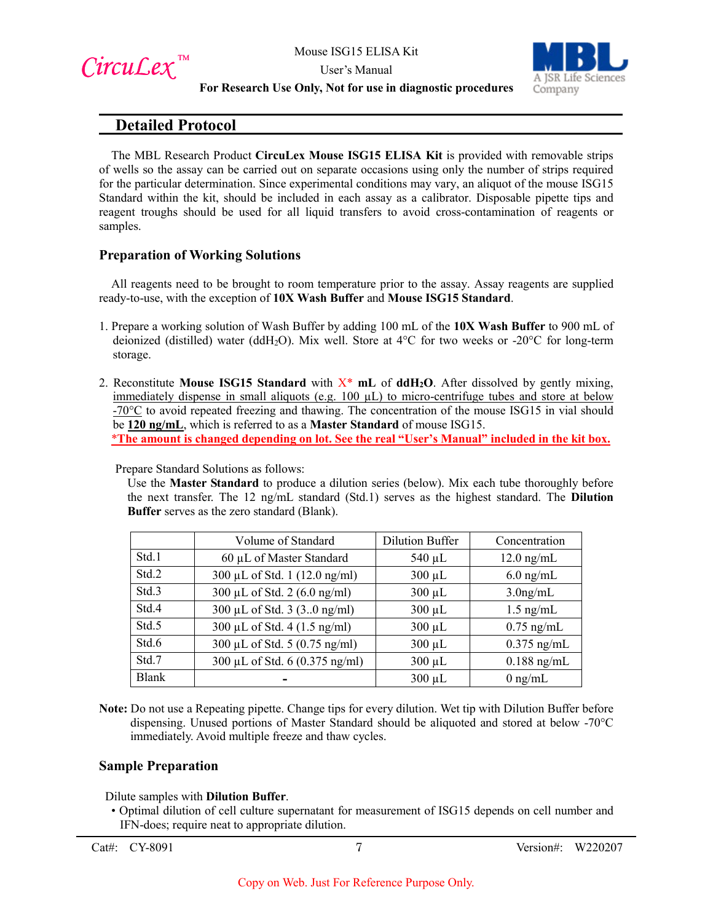



#### **For Research Use Only, Not for use in diagnostic procedures**

## **Detailed Protocol**

The MBL Research Product **CircuLex Mouse ISG15 ELISA Kit** is provided with removable strips of wells so the assay can be carried out on separate occasions using only the number of strips required for the particular determination. Since experimental conditions may vary, an aliquot of the mouse ISG15 Standard within the kit, should be included in each assay as a calibrator. Disposable pipette tips and reagent troughs should be used for all liquid transfers to avoid cross-contamination of reagents or samples.

#### **Preparation of Working Solutions**

All reagents need to be brought to room temperature prior to the assay. Assay reagents are supplied ready-to-use, with the exception of **10X Wash Buffer** and **Mouse ISG15 Standard**.

- 1. Prepare a working solution of Wash Buffer by adding 100 mL of the **10X Wash Buffer** to 900 mL of deionized (distilled) water (ddH<sub>2</sub>O). Mix well. Store at  $4^{\circ}$ C for two weeks or -20 $^{\circ}$ C for long-term storage.
- 2. Reconstitute **Mouse ISG15 Standard** with X\* **mL** of **ddH2O**. After dissolved by gently mixing, immediately dispense in small aliquots (e.g.  $100 \mu L$ ) to micro-centrifuge tubes and store at below -70°C to avoid repeated freezing and thawing. The concentration of the mouse ISG15 in vial should be **120 ng/mL**, which is referred to as a **Master Standard** of mouse ISG15.

\***The amount is changed depending on lot. See the real "User's Manual" included in the kit box.**

Prepare Standard Solutions as follows:

Use the **Master Standard** to produce a dilution series (below). Mix each tube thoroughly before the next transfer. The 12 ng/mL standard (Std.1) serves as the highest standard. The **Dilution Buffer** serves as the zero standard (Blank).

|              | Volume of Standard                     | <b>Dilution Buffer</b> | Concentration |
|--------------|----------------------------------------|------------------------|---------------|
| Std.1        | 60 μL of Master Standard               | $540 \mu L$            | $12.0$ ng/mL  |
| Std.2        | 300 μL of Std. 1 (12.0 ng/ml)          | $300 \mu L$            | $6.0$ ng/mL   |
| Std.3        | 300 μL of Std. 2 (6.0 ng/ml)           | $300 \mu L$            | $3.0$ ng/mL   |
| Std.4        | 300 μL of Std. 3 (30 ng/ml)            | $300 \mu L$            | $1.5$ ng/mL   |
| Std.5        | 300 µL of Std. 4 $(1.5 \text{ ng/ml})$ | $300 \mu L$            | $0.75$ ng/mL  |
| Std.6        | 300 μL of Std. 5 (0.75 ng/ml)          | $300 \mu L$            | $0.375$ ng/mL |
| Std.7        | 300 µL of Std. 6 (0.375 ng/ml)         | $300 \mu L$            | $0.188$ ng/mL |
| <b>Blank</b> |                                        | $300 \mu L$            | $0$ ng/mL     |

**Note:** Do not use a Repeating pipette. Change tips for every dilution. Wet tip with Dilution Buffer before dispensing. Unused portions of Master Standard should be aliquoted and stored at below -70°C immediately. Avoid multiple freeze and thaw cycles.

#### **Sample Preparation**

Dilute samples with **Dilution Buffer**.

• Optimal dilution of cell culture supernatant for measurement of ISG15 depends on cell number and IFN-does; require neat to appropriate dilution.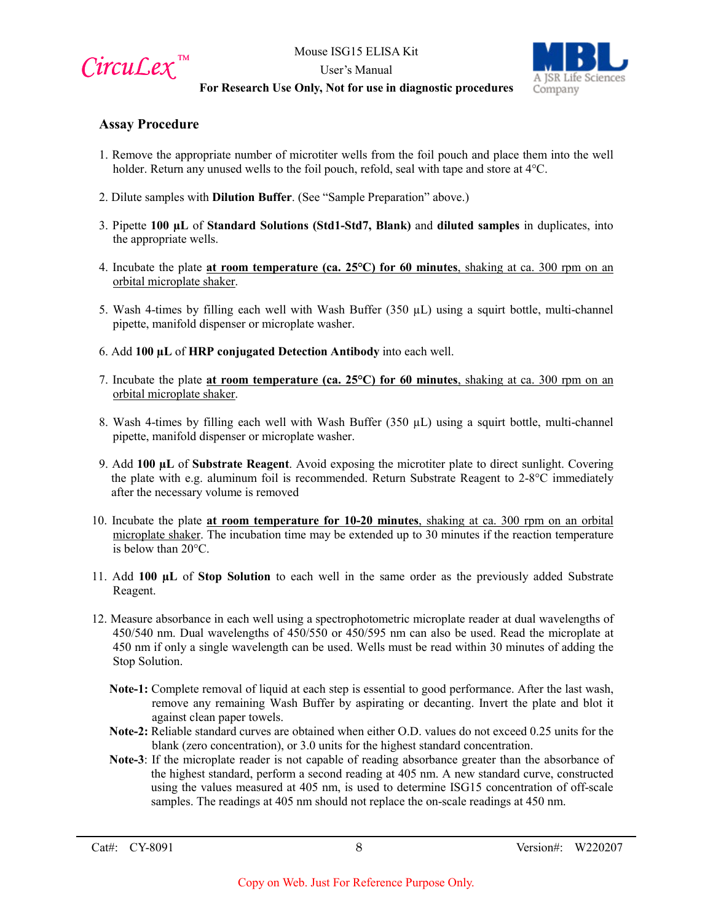

User's Manual



#### **For Research Use Only, Not for use in diagnostic procedures**

## **Assay Procedure**

- 1. Remove the appropriate number of microtiter wells from the foil pouch and place them into the well holder. Return any unused wells to the foil pouch, refold, seal with tape and store at 4 °C.
- 2. Dilute samples with **Dilution Buffer**. (See "Sample Preparation" above.)
- 3. Pipette **100 µL** of **Standard Solutions (Std1-Std7, Blank)** and **diluted samples** in duplicates, into the appropriate wells.
- 4. Incubate the plate **at room temperature (ca. 25°C) for 60 minutes**, shaking at ca. 300 rpm on an orbital microplate shaker.
- 5. Wash 4-times by filling each well with Wash Buffer  $(350 \mu L)$  using a squirt bottle, multi-channel pipette, manifold dispenser or microplate washer.
- 6. Add **100 µL** of **HRP conjugated Detection Antibody** into each well.
- 7. Incubate the plate **at room temperature (ca. 25°C) for 60 minutes**, shaking at ca. 300 rpm on an orbital microplate shaker.
- 8. Wash 4-times by filling each well with Wash Buffer (350 µL) using a squirt bottle, multi-channel pipette, manifold dispenser or microplate washer.
- 9. Add **100 µL** of **Substrate Reagent**. Avoid exposing the microtiter plate to direct sunlight. Covering the plate with e.g. aluminum foil is recommended. Return Substrate Reagent to  $2\text{-}8\textdegree C$  immediately after the necessary volume is removed
- 10. Incubate the plate **at room temperature for 10-20 minutes**, shaking at ca. 300 rpm on an orbital microplate shaker. The incubation time may be extended up to 30 minutes if the reaction temperature is below than 20°C.
- 11. Add **100 µL** of **Stop Solution** to each well in the same order as the previously added Substrate Reagent.
- 12. Measure absorbance in each well using a spectrophotometric microplate reader at dual wavelengths of 450/540 nm. Dual wavelengths of 450/550 or 450/595 nm can also be used. Read the microplate at 450 nm if only a single wavelength can be used. Wells must be read within 30 minutes of adding the Stop Solution.
	- **Note-1:** Complete removal of liquid at each step is essential to good performance. After the last wash, remove any remaining Wash Buffer by aspirating or decanting. Invert the plate and blot it against clean paper towels.
	- **Note-2:** Reliable standard curves are obtained when either O.D. values do not exceed 0.25 units for the blank (zero concentration), or 3.0 units for the highest standard concentration.
	- **Note-3**: If the microplate reader is not capable of reading absorbance greater than the absorbance of the highest standard, perform a second reading at 405 nm. A new standard curve, constructed using the values measured at 405 nm, is used to determine ISG15 concentration of off-scale samples. The readings at 405 nm should not replace the on-scale readings at 450 nm.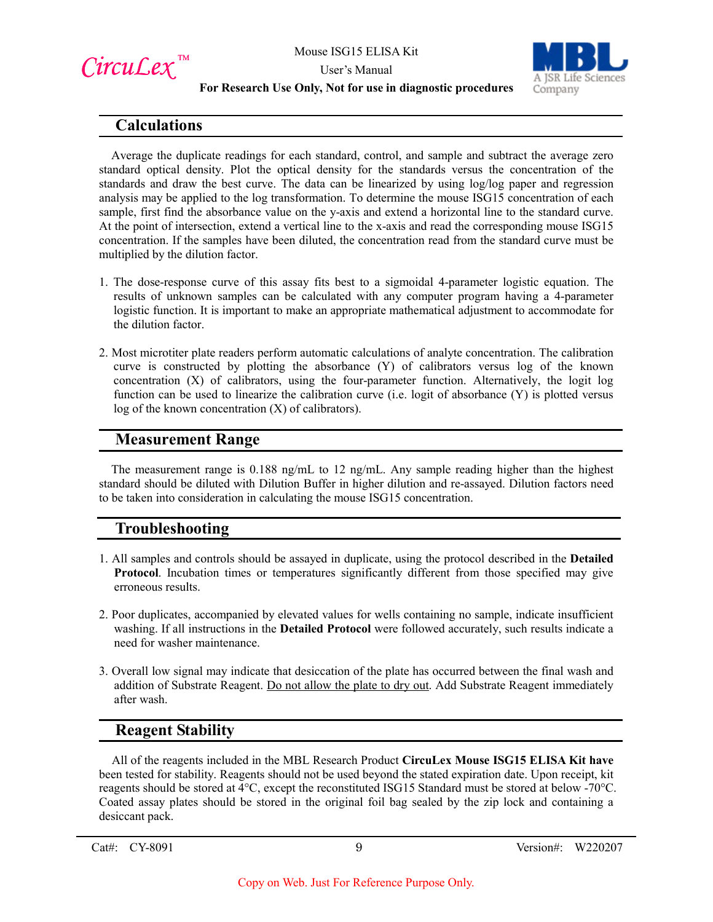

User's Manual



#### **For Research Use Only, Not for use in diagnostic procedures**

## **Calculations**

Average the duplicate readings for each standard, control, and sample and subtract the average zero standard optical density. Plot the optical density for the standards versus the concentration of the standards and draw the best curve. The data can be linearized by using log/log paper and regression analysis may be applied to the log transformation. To determine the mouse ISG15 concentration of each sample, first find the absorbance value on the y-axis and extend a horizontal line to the standard curve. At the point of intersection, extend a vertical line to the x-axis and read the corresponding mouse ISG15 concentration. If the samples have been diluted, the concentration read from the standard curve must be multiplied by the dilution factor.

- 1. The dose-response curve of this assay fits best to a sigmoidal 4-parameter logistic equation. The results of unknown samples can be calculated with any computer program having a 4-parameter logistic function. It is important to make an appropriate mathematical adjustment to accommodate for the dilution factor.
- 2. Most microtiter plate readers perform automatic calculations of analyte concentration. The calibration curve is constructed by plotting the absorbance (Y) of calibrators versus log of the known concentration (X) of calibrators, using the four-parameter function. Alternatively, the logit log function can be used to linearize the calibration curve (i.e. logit of absorbance (Y) is plotted versus log of the known concentration (X) of calibrators).

## **Measurement Range**

The measurement range is 0.188 ng/mL to 12 ng/mL. Any sample reading higher than the highest standard should be diluted with Dilution Buffer in higher dilution and re-assayed. Dilution factors need to be taken into consideration in calculating the mouse ISG15 concentration.

## **Troubleshooting**

- 1. All samples and controls should be assayed in duplicate, using the protocol described in the **Detailed Protocol**. Incubation times or temperatures significantly different from those specified may give erroneous results.
- 2. Poor duplicates, accompanied by elevated values for wells containing no sample, indicate insufficient washing. If all instructions in the **Detailed Protocol** were followed accurately, such results indicate a need for washer maintenance.
- 3. Overall low signal may indicate that desiccation of the plate has occurred between the final wash and addition of Substrate Reagent. Do not allow the plate to dry out. Add Substrate Reagent immediately after wash.

## **Reagent Stability**

All of the reagents included in the MBL Research Product **CircuLex Mouse ISG15 ELISA Kit have** been tested for stability. Reagents should not be used beyond the stated expiration date. Upon receipt, kit reagents should be stored at 4°C, except the reconstituted ISG15 Standard must be stored at below -70°C. Coated assay plates should be stored in the original foil bag sealed by the zip lock and containing a desiccant pack.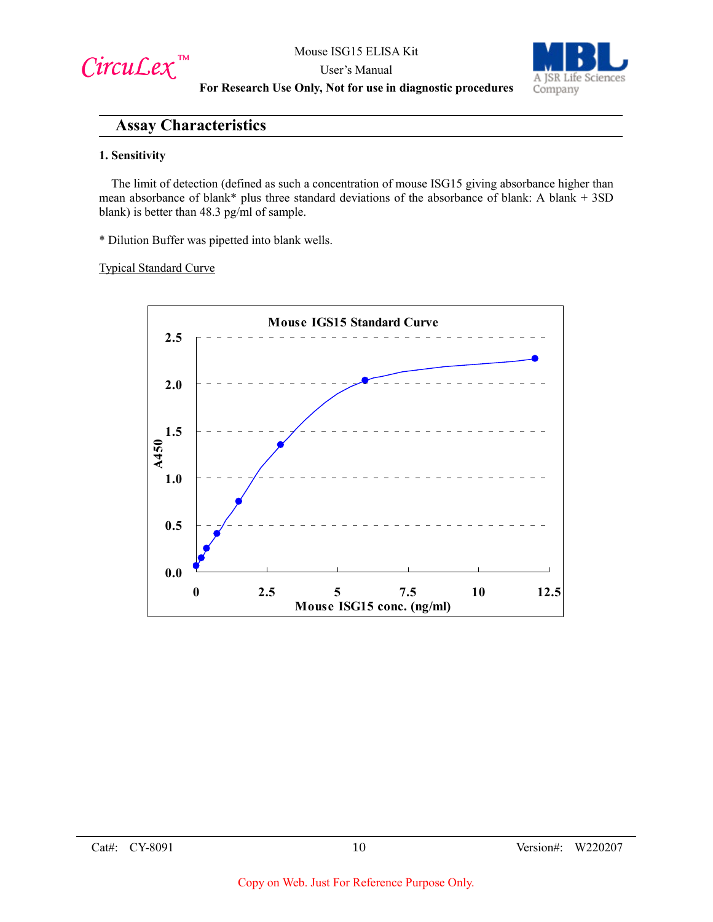$Circu$ *Lex*™

User's Manual



**For Research Use Only, Not for use in diagnostic procedures**

## **Assay Characteristics**

#### **1. Sensitivity**

The limit of detection (defined as such a concentration of mouse ISG15 giving absorbance higher than mean absorbance of blank\* plus three standard deviations of the absorbance of blank: A blank + 3SD blank) is better than 48.3 pg/ml of sample.

\* Dilution Buffer was pipetted into blank wells.

#### Typical Standard Curve

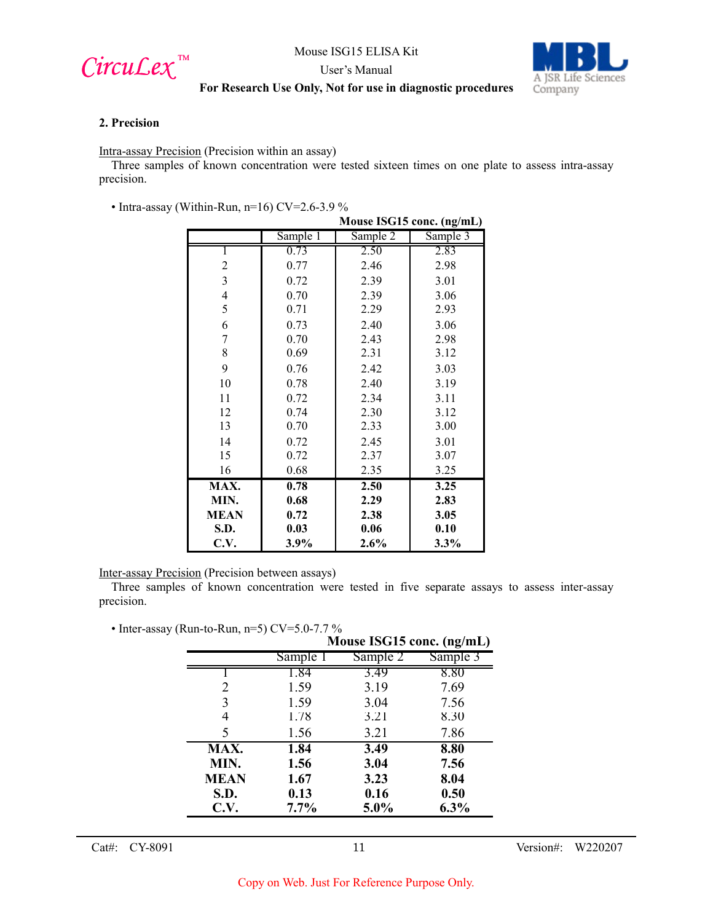

User's Manual



## **For Research Use Only, Not for use in diagnostic procedures**

#### **2. Precision**

Intra-assay Precision (Precision within an assay)

Three samples of known concentration were tested sixteen times on one plate to assess intra-assay precision.

• Intra-assay (Within-Run, n=16) CV=2.6-3.9 %

|                |          | Mouse ISG15 conc. (ng/mL) |          |  |
|----------------|----------|---------------------------|----------|--|
|                | Sample 1 | Sample 2                  | Sample 3 |  |
|                | 0.73     | 2.50                      | 2.83     |  |
| $\overline{c}$ | 0.77     | 2.46                      | 2.98     |  |
| 3              | 0.72     | 2.39                      | 3.01     |  |
| 4              | 0.70     | 2.39                      | 3.06     |  |
| 5              | 0.71     | 2.29                      | 2.93     |  |
| 6              | 0.73     | 2.40                      | 3.06     |  |
| $\overline{7}$ | 0.70     | 2.43                      | 2.98     |  |
| 8              | 0.69     | 2.31                      | 3.12     |  |
| 9              | 0.76     | 2.42                      | 3.03     |  |
| 10             | 0.78     | 2.40                      | 3.19     |  |
| 11             | 0.72     | 2.34                      | 3.11     |  |
| 12             | 0.74     | 2.30                      | 3.12     |  |
| 13             | 0.70     | 2.33                      | 3.00     |  |
| 14             | 0.72     | 2.45                      | 3.01     |  |
| 15             | 0.72     | 2.37                      | 3.07     |  |
| 16             | 0.68     | 2.35                      | 3.25     |  |
| MAX.           | 0.78     | 2.50                      | 3.25     |  |
| MIN.           | 0.68     | 2.29                      | 2.83     |  |
| <b>MEAN</b>    | 0.72     | 2.38                      | 3.05     |  |
| S.D.           | 0.03     | 0.06                      | 0.10     |  |
| C.V.           | 3.9%     | 2.6%                      | $3.3\%$  |  |

Inter-assay Precision (Precision between assays)

Three samples of known concentration were tested in five separate assays to assess inter-assay precision.

|      | Mouse ISG15 conc. (ng/mL) |          |          |  |
|------|---------------------------|----------|----------|--|
|      | Sample 1                  | Sample 2 | Sample 3 |  |
|      | 1.84                      | 3.49     | 8.80     |  |
| 2    | 1.59                      | 3.19     | 7.69     |  |
| 3    | 1.59                      | 3.04     | 7.56     |  |
| 4    | 1.78                      | 3.21     | 8.30     |  |
| 5    | 1.56                      | 3.21     | 7.86     |  |
| MAX. | 1.84                      | 3.49     | 8.80     |  |
| MIN. | 1.56                      | 3.04     | 7.56     |  |
| MEAN | 1.67                      | 3.23     | 8.04     |  |
| S.D. | 0.13                      | 0.16     | 0.50     |  |
| C.V. | $7.7\%$                   | 5.0%     | 6.3%     |  |
|      |                           |          |          |  |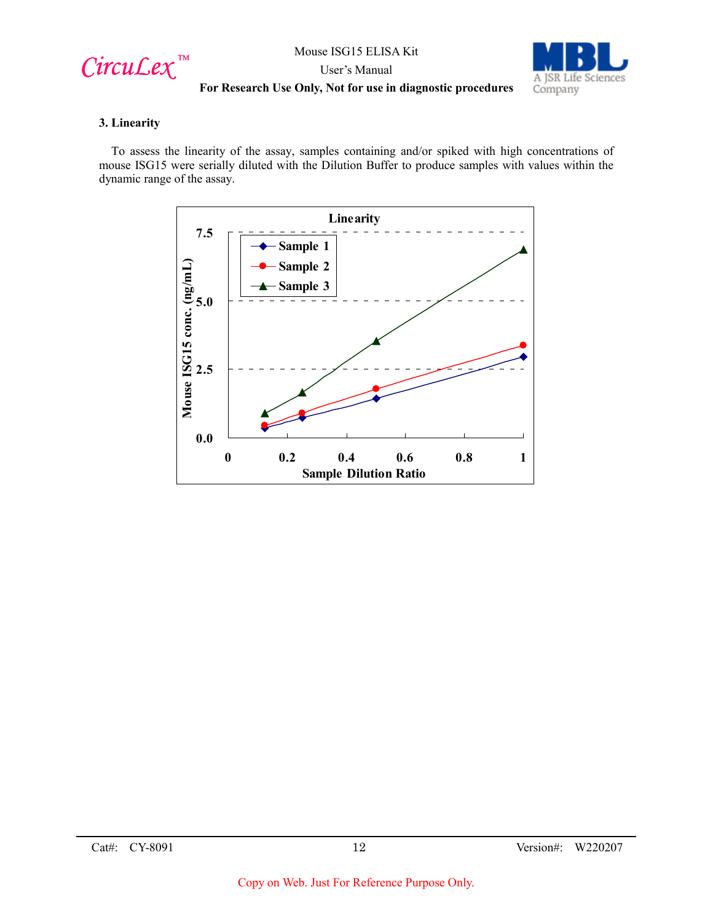$Circu$ *Lex*™

Mouse ISG15 ELISA Kit User's Manual **For Research Use Only, Not for use in diagnostic procedures**



# **3. Linearity**

To assess the linearity of the assay, samples containing and/or spiked with high concentrations of mouse ISG15 were serially diluted with the Dilution Buffer to produce samples with values within the dynamic range of the assay.

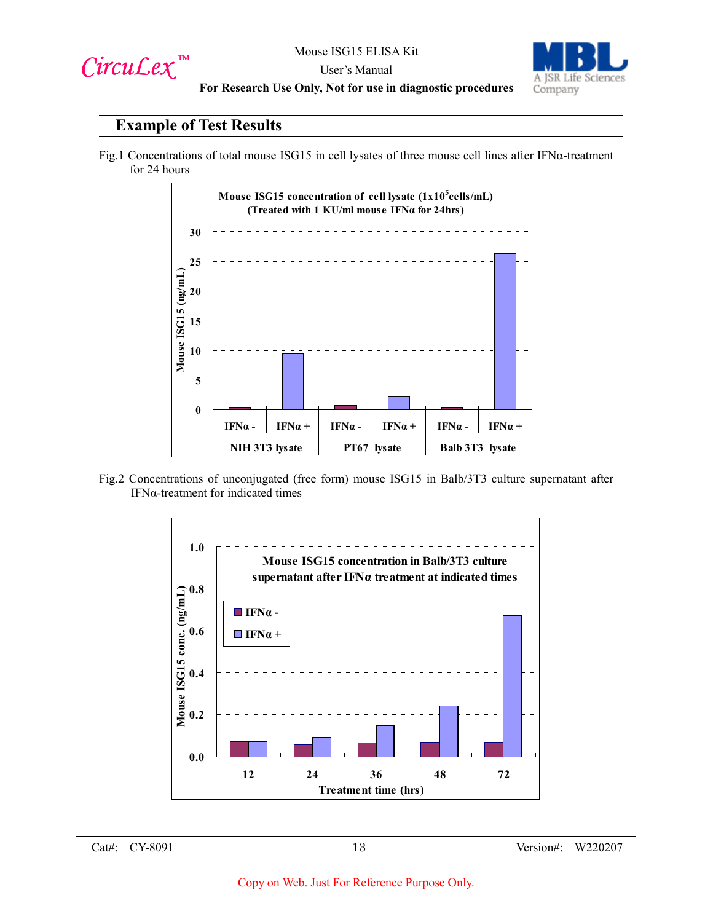



User's Manual **For Research Use Only, Not for use in diagnostic procedures**

## **Example of Test Results**

Fig.1 Concentrations of total mouse ISG15 in cell lysates of three mouse cell lines after IFNα-treatment for 24 hours



Fig.2 Concentrations of unconjugated (free form) mouse ISG15 in Balb/3T3 culture supernatant after IFNα-treatment for indicated times

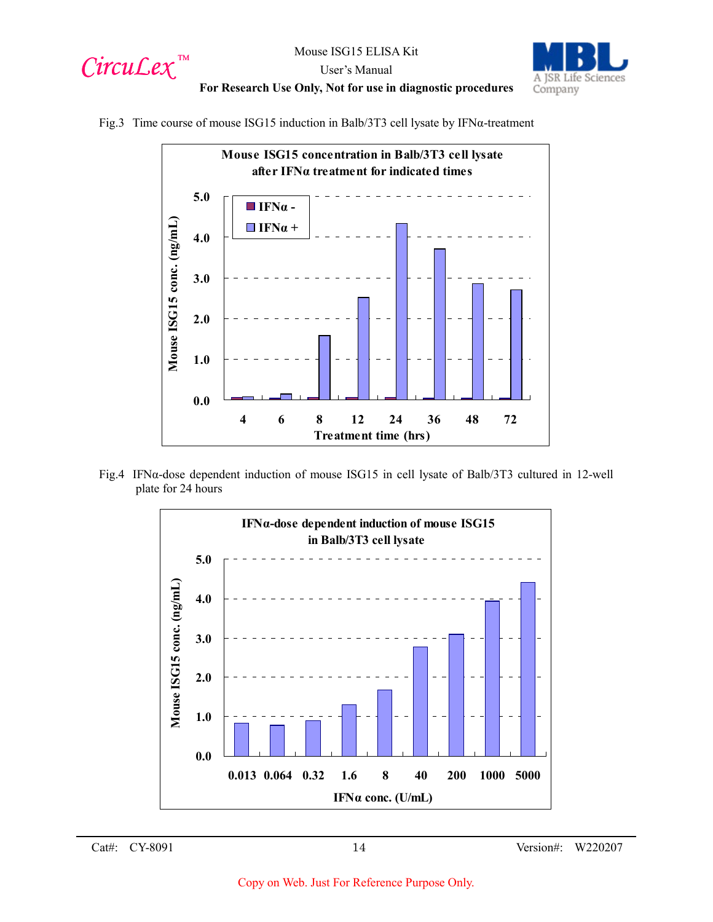



Fig.3 Time course of mouse ISG15 induction in Balb/3T3 cell lysate by IFNα-treatment



Fig.4 IFNα-dose dependent induction of mouse ISG15 in cell lysate of Balb/3T3 cultured in 12-well plate for 24 hours

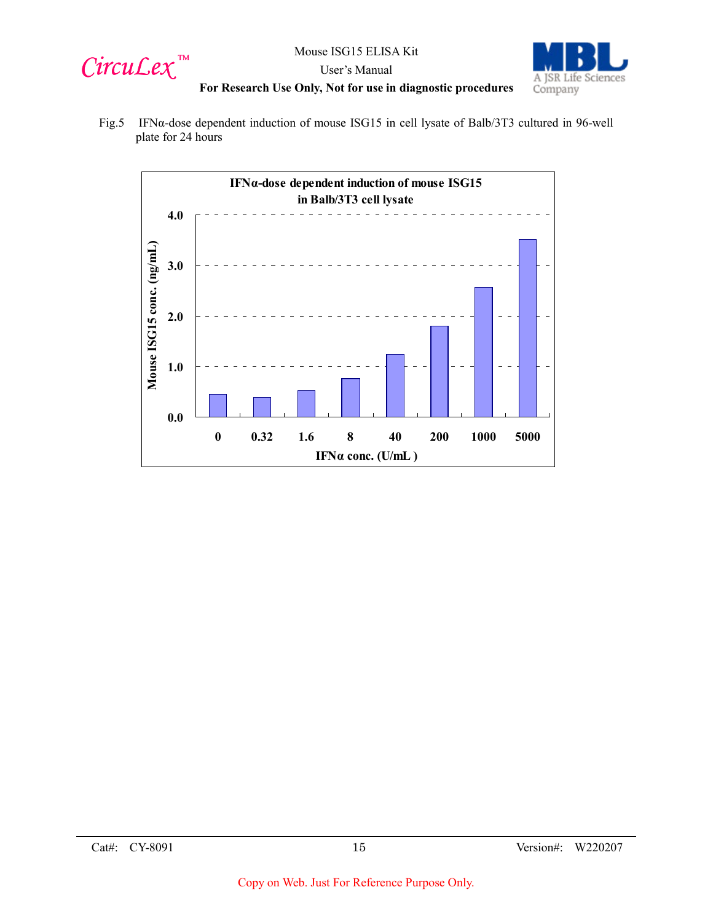



## User's Manual **For Research Use Only, Not for use in diagnostic procedures**

Fig.5 IFNα-dose dependent induction of mouse ISG15 in cell lysate of Balb/3T3 cultured in 96-well plate for 24 hours